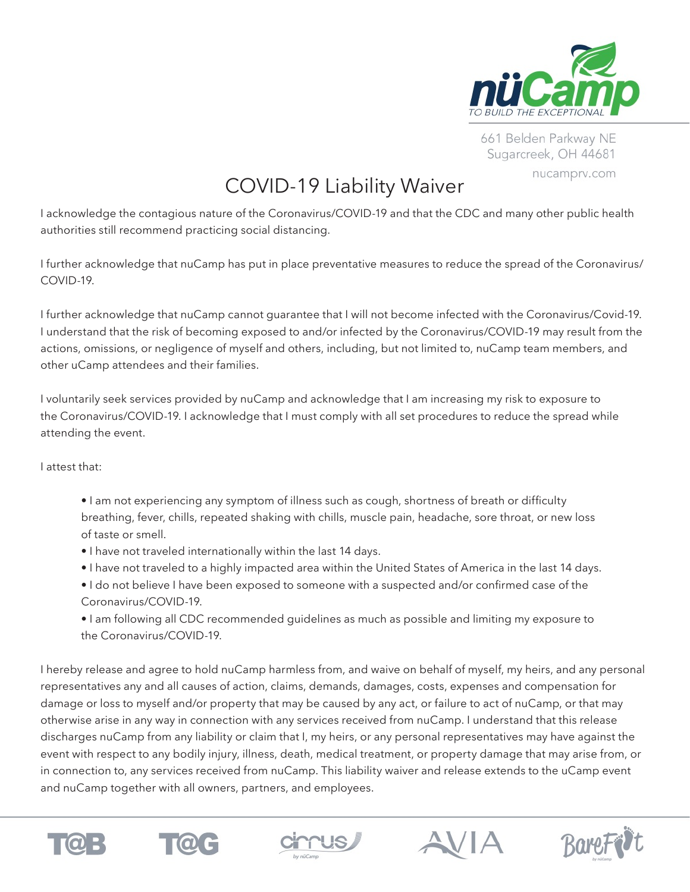

661 Belden Parkway NE Sugarcreek, OH 44681 nucamprv.com

## COVID-19 Liability Waiver

I acknowledge the contagious nature of the Coronavirus/COVID-19 and that the CDC and many other public health authorities still recommend practicing social distancing.

I further acknowledge that nuCamp has put in place preventative measures to reduce the spread of the Coronavirus/ COVID-19.

I further acknowledge that nuCamp cannot guarantee that I will not become infected with the Coronavirus/Covid-19. I understand that the risk of becoming exposed to and/or infected by the Coronavirus/COVID-19 may result from the actions, omissions, or negligence of myself and others, including, but not limited to, nuCamp team members, and other uCamp attendees and their families.

I voluntarily seek services provided by nuCamp and acknowledge that I am increasing my risk to exposure to the Coronavirus/COVID-19. I acknowledge that I must comply with all set procedures to reduce the spread while attending the event.

I attest that:

- I am not experiencing any symptom of illness such as cough, shortness of breath or difficulty breathing, fever, chills, repeated shaking with chills, muscle pain, headache, sore throat, or new loss of taste or smell.
- I have not traveled internationally within the last 14 days.
- I have not traveled to a highly impacted area within the United States of America in the last 14 days.
- I do not believe I have been exposed to someone with a suspected and/or confirmed case of the Coronavirus/COVID-19.
- I am following all CDC recommended guidelines as much as possible and limiting my exposure to the Coronavirus/COVID-19.

I hereby release and agree to hold nuCamp harmless from, and waive on behalf of myself, my heirs, and any personal representatives any and all causes of action, claims, demands, damages, costs, expenses and compensation for damage or loss to myself and/or property that may be caused by any act, or failure to act of nuCamp, or that may otherwise arise in any way in connection with any services received from nuCamp. I understand that this release discharges nuCamp from any liability or claim that I, my heirs, or any personal representatives may have against the event with respect to any bodily injury, illness, death, medical treatment, or property damage that may arise from, or in connection to, any services received from nuCamp. This liability waiver and release extends to the uCamp event and nuCamp together with all owners, partners, and employees.









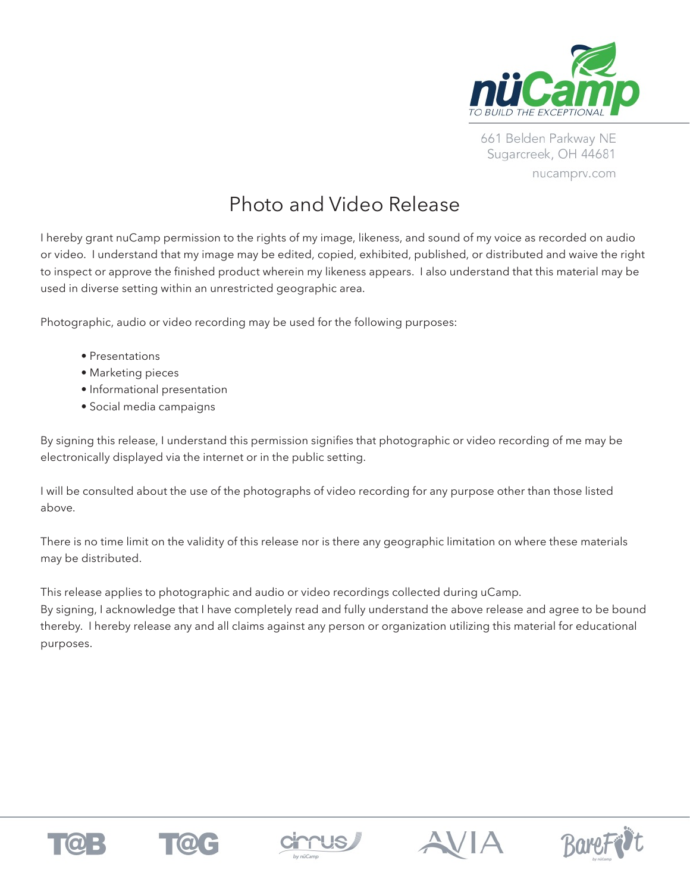

661 Belden Parkway NE Sugarcreek, OH 44681 nucamprv.com

## Photo and Video Release

I hereby grant nuCamp permission to the rights of my image, likeness, and sound of my voice as recorded on audio or video. I understand that my image may be edited, copied, exhibited, published, or distributed and waive the right to inspect or approve the finished product wherein my likeness appears. I also understand that this material may be used in diverse setting within an unrestricted geographic area.

Photographic, audio or video recording may be used for the following purposes:

- Presentations
- Marketing pieces
- Informational presentation
- Social media campaigns

By signing this release, I understand this permission signifies that photographic or video recording of me may be electronically displayed via the internet or in the public setting.

I will be consulted about the use of the photographs of video recording for any purpose other than those listed above.

There is no time limit on the validity of this release nor is there any geographic limitation on where these materials may be distributed.

This release applies to photographic and audio or video recordings collected during uCamp. By signing, I acknowledge that I have completely read and fully understand the above release and agree to be bound thereby. I hereby release any and all claims against any person or organization utilizing this material for educational purposes.